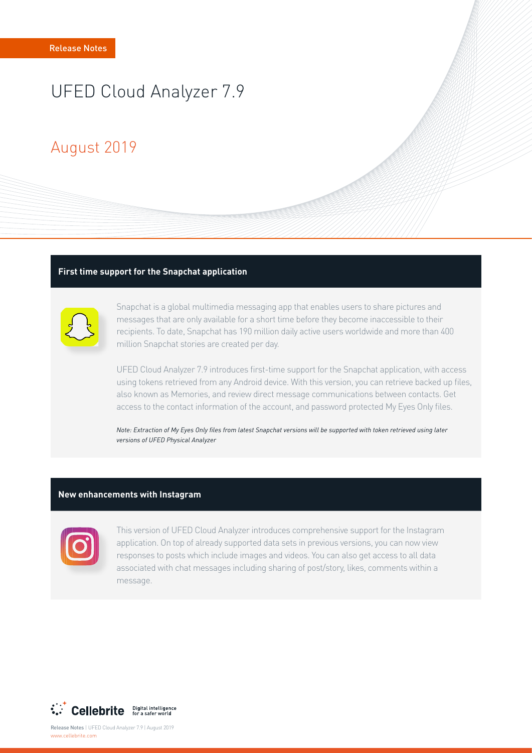# UFED Cloud Analyzer 7.9

## August 2019

#### **First time support for the Snapchat application**



Snapchat is a global multimedia messaging app that enables users to share pictures and messages that are only available for a short time before they become inaccessible to their recipients. To date, Snapchat has 190 million daily active users worldwide and more than 400 million Snapchat stories are created per day.

UFED Cloud Analyzer 7.9 introduces first-time support for the Snapchat application, with access using tokens retrieved from any Android device. With this version, you can retrieve backed up files, also known as Memories, and review direct message communications between contacts. Get access to the contact information of the account, and password protected My Eyes Only files.

*Note: Extraction of My Eyes Only files from latest Snapchat versions will be supported with token retrieved using later versions of UFED Physical Analyzer* 

#### **New enhancements with Instagram**



This version of UFED Cloud Analyzer introduces comprehensive support for the Instagram application. On top of already supported data sets in previous versions, you can now view responses to posts which include images and videos. You can also get access to all data associated with chat messages including sharing of post/story, likes, comments within a message.



Release Notes | UFED Cloud Analyzer 7.9 | August 2019 www.cellebrite.com